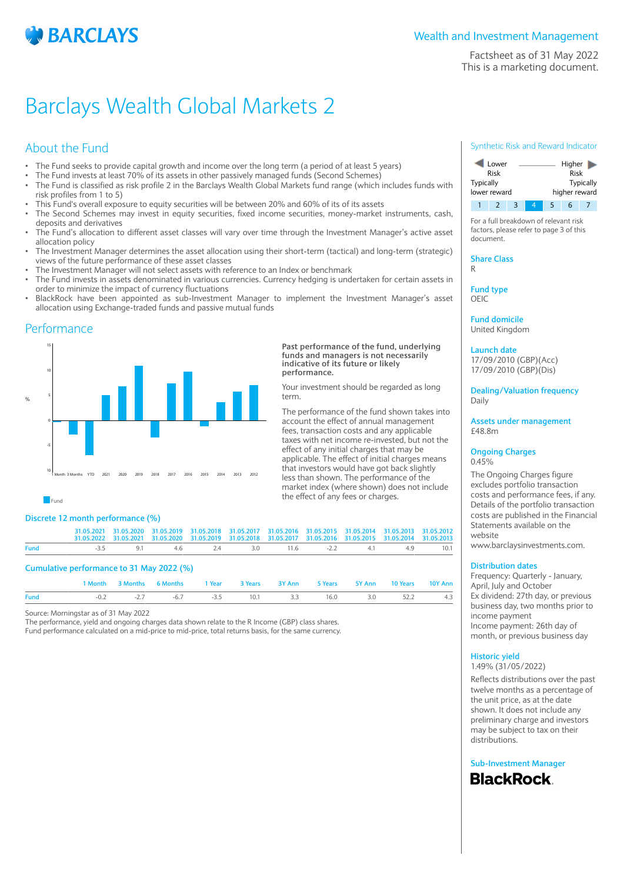

Factsheet as of 31 May 2022 This is a marketing document.

## Barclays Wealth Global Markets 2

## About the Fund

- The Fund seeks to provide capital growth and income over the long term (a period of at least 5 years)
- The Fund invests at least 70% of its assets in other passively managed funds (Second Schemes)
- The Fund is classified as risk profile 2 in the Barclays Wealth Global Markets fund range (which includes funds with risk profiles from 1 to 5)
- This Fund's overall exposure to equity securities will be between 20% and 60% of its of its assets
- The Second Schemes may invest in equity securities, fixed income securities, money-market instruments, cash, deposits and derivatives
- The Fund's allocation to different asset classes will vary over time through the Investment Manager's active asset allocation policy
- The Investment Manager determines the asset allocation using their short-term (tactical) and long-term (strategic) views of the future performance of these asset classes
- The Investment Manager will not select assets with reference to an Index or benchmark
- The Fund invests in assets denominated in various currencies. Currency hedging is undertaken for certain assets in order to minimize the impact of currency fluctuations
- BlackRock have been appointed as sub-Investment Manager to implement the Investment Manager's asset allocation using Exchange-traded funds and passive mutual funds

### Performance



#### **Past performance of the fund, underlying funds and managers is not necessarily indicative of its future or likely performance.**

Your investment should be regarded as long term.

The performance of the fund shown takes into account the effect of annual management fees, transaction costs and any applicable taxes with net income re-invested, but not the effect of any initial charges that may be applicable. The effect of initial charges means that investors would have got back slightly less than shown. The performance of the market index (where shown) does not include the effect of any fees or charges.

**Fund** 

#### **Discrete 12 month performance (%)**

|                                           |        | 1 Month 3 Months 6 Months |  | and <b>1 Year</b> |  | 3 Years 3Y Ann |  | 5 Years 5Y Ann                                                                                                                                                                                                                 | 10 Years | 10Y Ann |  |  |  |
|-------------------------------------------|--------|---------------------------|--|-------------------|--|----------------|--|--------------------------------------------------------------------------------------------------------------------------------------------------------------------------------------------------------------------------------|----------|---------|--|--|--|
| Cumulative performance to 31 May 2022 (%) |        |                           |  |                   |  |                |  |                                                                                                                                                                                                                                |          |         |  |  |  |
| Fund                                      | $-3.5$ |                           |  |                   |  |                |  | 9.1 4.6 2.4 3.0 11.6 -2.2 4.1 4.9                                                                                                                                                                                              |          | 10.1    |  |  |  |
|                                           |        |                           |  |                   |  |                |  | 31.05.2021 31.05.2020 31.05.2019 31.05.2018 31.05.2017 31.05.2016 31.05.2015 31.05.2014 31.05.2013 31.05.2012<br>31.05.2022 31.05.2021 31.05.2020 31.05.2019 31.05.2018 31.05.2017 31.05.2016 31.05.2015 31.05.2014 31.05.2013 |          |         |  |  |  |

**Fund** -0.2 -2.7 -6.7 -3.5 10.1 3.3 16.0 3.0 52.2 4.3

Source: Morningstar as of 31 May 2022

The performance, yield and ongoing charges data shown relate to the R Income (GBP) class shares. Fund performance calculated on a mid-price to mid-price, total returns basis, for the same currency.

#### Synthetic Risk and Reward Indicator



For a full breakdown of relevant risk factors, please refer to page 3 of this document.

**Share Class** R

**Fund type**

OEIC

**Fund domicile** United Kingdom

**Launch date** 17/09/2010 (GBP)(Acc)

17/09/2010 (GBP)(Dis)

**Dealing/Valuation frequency** Daily

**Assets under management** £48.8m

#### **Ongoing Charges** 0.45%

The Ongoing Charges figure excludes portfolio transaction costs and performance fees, if any. Details of the portfolio transaction costs are published in the Financial Statements available on the website

www.barclaysinvestments.com.

#### **Distribution dates**

Frequency: Quarterly - January, April, July and October Ex dividend: 27th day, or previous business day, two months prior to income payment Income payment: 26th day of month, or previous business day

### **Historic yield**

1.49% (31/05/2022)

Reflects distributions over the past twelve months as a percentage of the unit price, as at the date shown. It does not include any preliminary charge and investors may be subject to tax on their distributions.

**Sub-Investment ManagerBlackRock**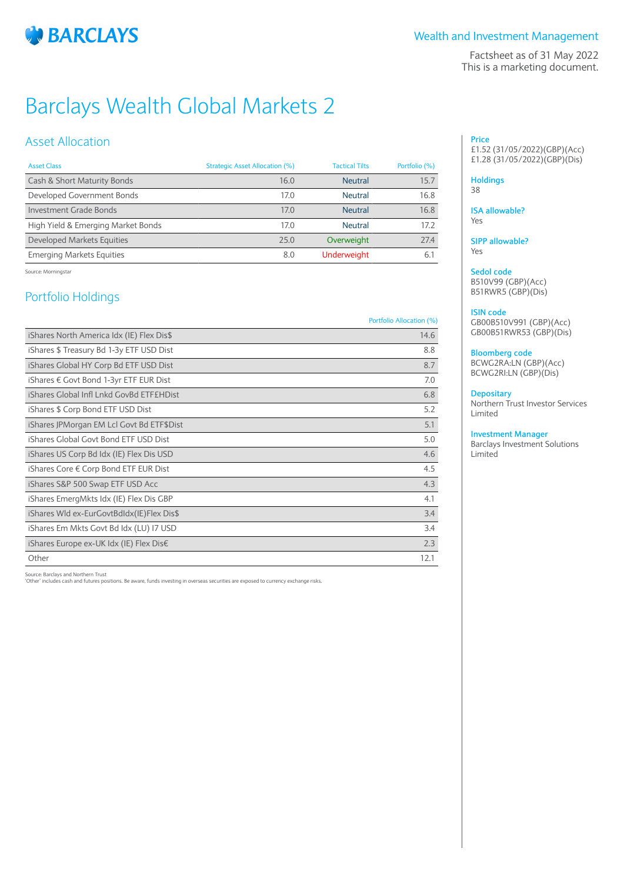

### Wealth and Investment Management

Factsheet as of 31 May 2022 This is a marketing document.

# Barclays Wealth Global Markets 2

## Asset Allocation

| <b>Asset Class</b>                 | Strategic Asset Allocation (%) | <b>Tactical Tilts</b> | Portfolio (%) |
|------------------------------------|--------------------------------|-----------------------|---------------|
| Cash & Short Maturity Bonds        | 16.0                           | <b>Neutral</b>        | 15.7          |
| Developed Government Bonds         | 17.0                           | Neutral               | 16.8          |
| Investment Grade Bonds             | 17.0                           | <b>Neutral</b>        | 16.8          |
| High Yield & Emerging Market Bonds | 17.0                           | Neutral               | 17.2          |
| Developed Markets Equities         | 75.0                           | Overweight            | 27.4          |
| <b>Emerging Markets Equities</b>   | 8.0                            | <b>Underweight</b>    | 6.            |

Source: Morningstar

## Portfolio Holdings

#### Portfolio Allocation (%)

| iShares North America Idx (IE) Flex Dis\$ | 14.6 |
|-------------------------------------------|------|
| iShares \$ Treasury Bd 1-3y ETF USD Dist  | 8.8  |
| iShares Global HY Corp Bd ETF USD Dist    | 8.7  |
| iShares € Govt Bond 1-3yr ETF EUR Dist    | 7.0  |
| iShares Global Infl Lnkd GovBd ETF£HDist  | 6.8  |
| iShares \$ Corp Bond ETF USD Dist         | 5.2  |
| iShares JPMorgan EM Lcl Govt Bd ETF\$Dist | 5.1  |
| iShares Global Govt Bond ETF USD Dist     | 5.0  |
| iShares US Corp Bd Idx (IE) Flex Dis USD  | 4.6  |
| iShares Core € Corp Bond ETF EUR Dist     | 4.5  |
| iShares S&P 500 Swap ETF USD Acc          | 4.3  |
| iShares EmergMkts Idx (IE) Flex Dis GBP   | 4.1  |
| iShares Wld ex-EurGovtBdIdx(IE)Flex Dis\$ | 3.4  |
| iShares Em Mkts Govt Bd Idx (LU) I7 USD   | 3.4  |
| iShares Europe ex-UK Idx (IE) Flex Dis€   | 2.3  |
| Other                                     | 12.1 |

Source: Barclays and Northern Trust 'Other' includes cash and futures positions. Be aware, funds investing in overseas securities are exposed to currency exchange risks.

#### **Price** £1.52 (31/05/2022)(GBP)(Acc) £1.28 (31/05/2022)(GBP)(Dis)

#### **Holdings**

38

#### **ISA allowable?** Yes

**SIPP allowable?** Yes

## **Sedol code**

B510V99 (GBP)(Acc) B51RWR5 (GBP)(Dis)

#### **ISIN code**

GB00B510V991 (GBP)(Acc) GB00B51RWR53 (GBP)(Dis)

#### **Bloomberg code**

BCWG2RA:LN (GBP)(Acc) BCWG2RI:LN (GBP)(Dis)

#### **Depositary**

Northern Trust Investor Services Limited

#### **Investment Manager**

Barclays Investment Solutions Limited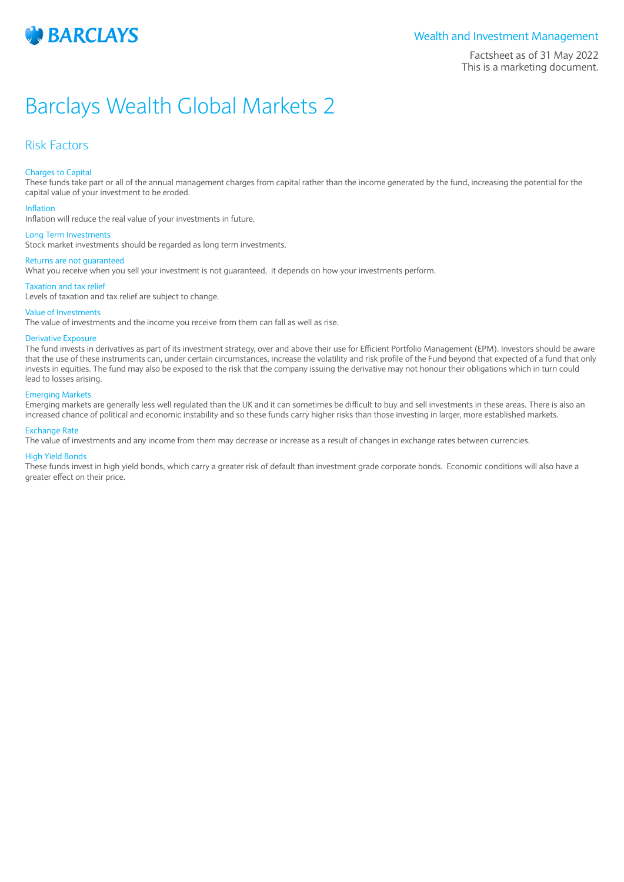

#### Wealth and Investment Management

Factsheet as of 31 May 2022 This is a marketing document.

## Barclays Wealth Global Markets 2

## Risk Factors

#### Charges to Capital

These funds take part or all of the annual management charges from capital rather than the income generated by the fund, increasing the potential for the capital value of your investment to be eroded.

#### Inflation

Inflation will reduce the real value of your investments in future.

#### Long Term Investments

Stock market investments should be regarded as long term investments.

#### Returns are not guaranteed

What you receive when you sell your investment is not guaranteed, it depends on how your investments perform.

#### Taxation and tax relief

Levels of taxation and tax relief are subject to change.

#### Value of Investments

The value of investments and the income you receive from them can fall as well as rise.

#### Derivative Exposure

The fund invests in derivatives as part of its investment strategy, over and above their use for Efficient Portfolio Management (EPM). Investors should be aware that the use of these instruments can, under certain circumstances, increase the volatility and risk profile of the Fund beyond that expected of a fund that only invests in equities. The fund may also be exposed to the risk that the company issuing the derivative may not honour their obligations which in turn could lead to losses arising.

#### Emerging Markets

Emerging markets are generally less well regulated than the UK and it can sometimes be difficult to buy and sell investments in these areas. There is also an increased chance of political and economic instability and so these funds carry higher risks than those investing in larger, more established markets.

#### Exchange Rate

The value of investments and any income from them may decrease or increase as a result of changes in exchange rates between currencies.

#### High Yield Bonds

These funds invest in high yield bonds, which carry a greater risk of default than investment grade corporate bonds. Economic conditions will also have a greater effect on their price.